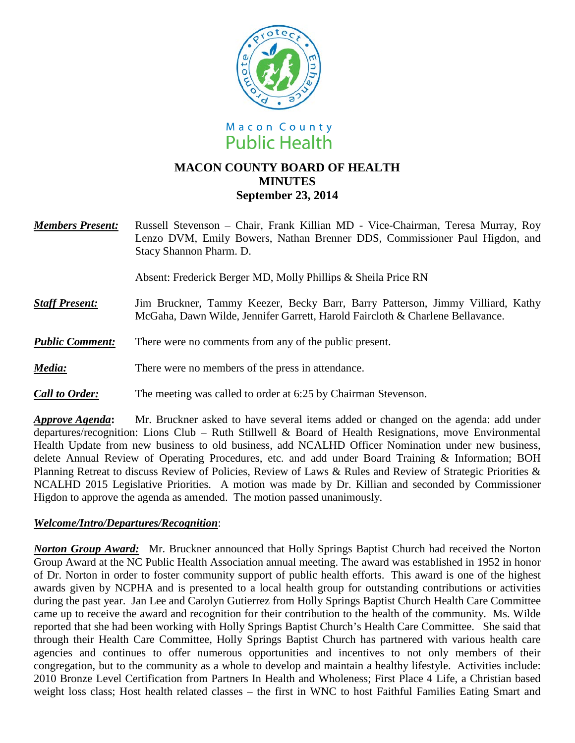



# **MACON COUNTY BOARD OF HEALTH MINUTES September 23, 2014**

*Members Present:* Russell Stevenson – Chair, Frank Killian MD - Vice-Chairman, Teresa Murray, Roy Lenzo DVM, Emily Bowers, Nathan Brenner DDS, Commissioner Paul Higdon, and Stacy Shannon Pharm. D.

Absent: Frederick Berger MD, Molly Phillips & Sheila Price RN

- **Staff Present:** Jim Bruckner, Tammy Keezer, Becky Barr, Barry Patterson, Jimmy Villiard, Kathy McGaha, Dawn Wilde, Jennifer Garrett, Harold Faircloth & Charlene Bellavance.
- *Public Comment:* There were no comments from any of the public present.
- *Media:* There were no members of the press in attendance.
- *Call to Order:* The meeting was called to order at 6:25 by Chairman Stevenson.

*Approve Agenda***:** Mr. Bruckner asked to have several items added or changed on the agenda: add under departures/recognition: Lions Club – Ruth Stillwell & Board of Health Resignations, move Environmental Health Update from new business to old business, add NCALHD Officer Nomination under new business, delete Annual Review of Operating Procedures, etc. and add under Board Training & Information; BOH Planning Retreat to discuss Review of Policies, Review of Laws & Rules and Review of Strategic Priorities & NCALHD 2015 Legislative Priorities. A motion was made by Dr. Killian and seconded by Commissioner Higdon to approve the agenda as amended. The motion passed unanimously.

## *Welcome/Intro/Departures/Recognition*:

*Norton Group Award:* Mr. Bruckner announced that Holly Springs Baptist Church had received the Norton Group Award at the NC Public Health Association annual meeting. The award was established in 1952 in honor of Dr. Norton in order to foster community support of public health efforts. This award is one of the highest awards given by NCPHA and is presented to a local health group for outstanding contributions or activities during the past year. Jan Lee and Carolyn Gutierrez from Holly Springs Baptist Church Health Care Committee came up to receive the award and recognition for their contribution to the health of the community. Ms. Wilde reported that she had been working with Holly Springs Baptist Church's Health Care Committee. She said that through their Health Care Committee, Holly Springs Baptist Church has partnered with various health care agencies and continues to offer numerous opportunities and incentives to not only members of their congregation, but to the community as a whole to develop and maintain a healthy lifestyle. Activities include: 2010 Bronze Level Certification from Partners In Health and Wholeness; First Place 4 Life, a Christian based weight loss class; Host health related classes – the first in WNC to host Faithful Families Eating Smart and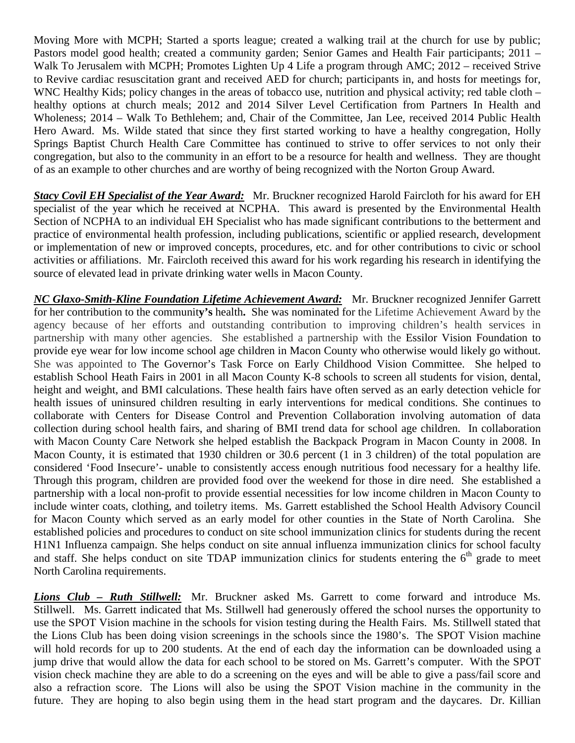Moving More with MCPH; Started a sports league; created a walking trail at the church for use by public; Pastors model good health; created a community garden; Senior Games and Health Fair participants; 2011 – Walk To Jerusalem with MCPH; Promotes Lighten Up 4 Life a program through AMC; 2012 – received Strive to Revive cardiac resuscitation grant and received AED for church; participants in, and hosts for meetings for, WNC Healthy Kids; policy changes in the areas of tobacco use, nutrition and physical activity; red table cloth – healthy options at church meals; 2012 and 2014 Silver Level Certification from Partners In Health and Wholeness; 2014 – Walk To Bethlehem; and, Chair of the Committee, Jan Lee, received 2014 Public Health Hero Award. Ms. Wilde stated that since they first started working to have a healthy congregation, Holly Springs Baptist Church Health Care Committee has continued to strive to offer services to not only their congregation, but also to the community in an effort to be a resource for health and wellness. They are thought of as an example to other churches and are worthy of being recognized with the Norton Group Award.

*Stacy Covil EH Specialist of the Year Award:* Mr. Bruckner recognized Harold Faircloth for his award for EH specialist of the year which he received at NCPHA. This award is presented by the Environmental Health Section of NCPHA to an individual EH Specialist who has made significant contributions to the betterment and practice of environmental health profession, including publications, scientific or applied research, development or implementation of new or improved concepts, procedures, etc. and for other contributions to civic or school activities or affiliations. Mr. Faircloth received this award for his work regarding his research in identifying the source of elevated lead in private drinking water wells in Macon County.

*NC Glaxo-Smith-Kline Foundation Lifetime Achievement Award:* Mr. Bruckner recognized Jennifer Garrett for her contribution to the communit**y's** health**.** She was nominated for the Lifetime Achievement Award by the agency because of her efforts and outstanding contribution to improving children's health services in partnership with many other agencies. She established a partnership with the Essilor Vision Foundation to provide eye wear for low income school age children in Macon County who otherwise would likely go without. She was appointed to The Governor's Task Force on Early Childhood Vision Committee. She helped to establish School Heath Fairs in 2001 in all Macon County K-8 schools to screen all students for vision, dental, height and weight, and BMI calculations. These health fairs have often served as an early detection vehicle for health issues of uninsured children resulting in early interventions for medical conditions. She continues to collaborate with Centers for Disease Control and Prevention Collaboration involving automation of data collection during school health fairs, and sharing of BMI trend data for school age children. In collaboration with Macon County Care Network she helped establish the Backpack Program in Macon County in 2008. In Macon County, it is estimated that 1930 children or 30.6 percent (1 in 3 children) of the total population are considered 'Food Insecure'- unable to consistently access enough nutritious food necessary for a healthy life. Through this program, children are provided food over the weekend for those in dire need. She established a partnership with a local non-profit to provide essential necessities for low income children in Macon County to include winter coats, clothing, and toiletry items. Ms. Garrett established the School Health Advisory Council for Macon County which served as an early model for other counties in the State of North Carolina. She established policies and procedures to conduct on site school immunization clinics for students during the recent H1N1 Influenza campaign. She helps conduct on site annual influenza immunization clinics for school faculty and staff. She helps conduct on site TDAP immunization clinics for students entering the  $6<sup>th</sup>$  grade to meet North Carolina requirements.

*Lions Club – Ruth Stillwell:* Mr. Bruckner asked Ms. Garrett to come forward and introduce Ms. Stillwell. Ms. Garrett indicated that Ms. Stillwell had generously offered the school nurses the opportunity to use the SPOT Vision machine in the schools for vision testing during the Health Fairs. Ms. Stillwell stated that the Lions Club has been doing vision screenings in the schools since the 1980's. The SPOT Vision machine will hold records for up to 200 students. At the end of each day the information can be downloaded using a jump drive that would allow the data for each school to be stored on Ms. Garrett's computer. With the SPOT vision check machine they are able to do a screening on the eyes and will be able to give a pass/fail score and also a refraction score. The Lions will also be using the SPOT Vision machine in the community in the future. They are hoping to also begin using them in the head start program and the daycares. Dr. Killian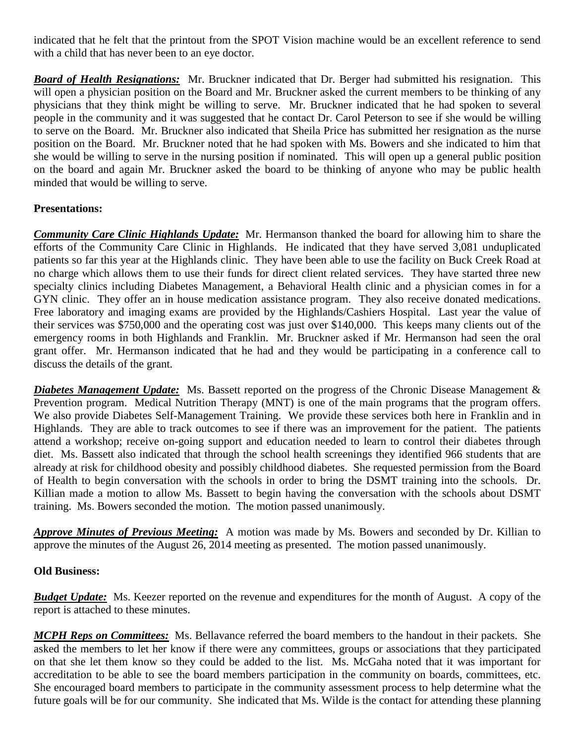indicated that he felt that the printout from the SPOT Vision machine would be an excellent reference to send with a child that has never been to an eye doctor.

*Board of Health Resignations:* Mr. Bruckner indicated that Dr. Berger had submitted his resignation. This will open a physician position on the Board and Mr. Bruckner asked the current members to be thinking of any physicians that they think might be willing to serve. Mr. Bruckner indicated that he had spoken to several people in the community and it was suggested that he contact Dr. Carol Peterson to see if she would be willing to serve on the Board. Mr. Bruckner also indicated that Sheila Price has submitted her resignation as the nurse position on the Board. Mr. Bruckner noted that he had spoken with Ms. Bowers and she indicated to him that she would be willing to serve in the nursing position if nominated. This will open up a general public position on the board and again Mr. Bruckner asked the board to be thinking of anyone who may be public health minded that would be willing to serve.

## **Presentations:**

*Community Care Clinic Highlands Update:* Mr. Hermanson thanked the board for allowing him to share the efforts of the Community Care Clinic in Highlands. He indicated that they have served 3,081 unduplicated patients so far this year at the Highlands clinic. They have been able to use the facility on Buck Creek Road at no charge which allows them to use their funds for direct client related services. They have started three new specialty clinics including Diabetes Management, a Behavioral Health clinic and a physician comes in for a GYN clinic. They offer an in house medication assistance program. They also receive donated medications. Free laboratory and imaging exams are provided by the Highlands/Cashiers Hospital. Last year the value of their services was \$750,000 and the operating cost was just over \$140,000. This keeps many clients out of the emergency rooms in both Highlands and Franklin. Mr. Bruckner asked if Mr. Hermanson had seen the oral grant offer. Mr. Hermanson indicated that he had and they would be participating in a conference call to discuss the details of the grant.

*Diabetes Management Update:* Ms. Bassett reported on the progress of the Chronic Disease Management & Prevention program. Medical Nutrition Therapy (MNT) is one of the main programs that the program offers. We also provide Diabetes Self-Management Training. We provide these services both here in Franklin and in Highlands. They are able to track outcomes to see if there was an improvement for the patient. The patients attend a workshop; receive on-going support and education needed to learn to control their diabetes through diet. Ms. Bassett also indicated that through the school health screenings they identified 966 students that are already at risk for childhood obesity and possibly childhood diabetes. She requested permission from the Board of Health to begin conversation with the schools in order to bring the DSMT training into the schools. Dr. Killian made a motion to allow Ms. Bassett to begin having the conversation with the schools about DSMT training. Ms. Bowers seconded the motion. The motion passed unanimously.

*Approve Minutes of Previous Meeting:* A motion was made by Ms. Bowers and seconded by Dr. Killian to approve the minutes of the August 26, 2014 meeting as presented. The motion passed unanimously.

#### **Old Business:**

*Budget Update:* Ms. Keezer reported on the revenue and expenditures for the month of August. A copy of the report is attached to these minutes.

*MCPH Reps on Committees:* Ms. Bellavance referred the board members to the handout in their packets. She asked the members to let her know if there were any committees, groups or associations that they participated on that she let them know so they could be added to the list. Ms. McGaha noted that it was important for accreditation to be able to see the board members participation in the community on boards, committees, etc. She encouraged board members to participate in the community assessment process to help determine what the future goals will be for our community. She indicated that Ms. Wilde is the contact for attending these planning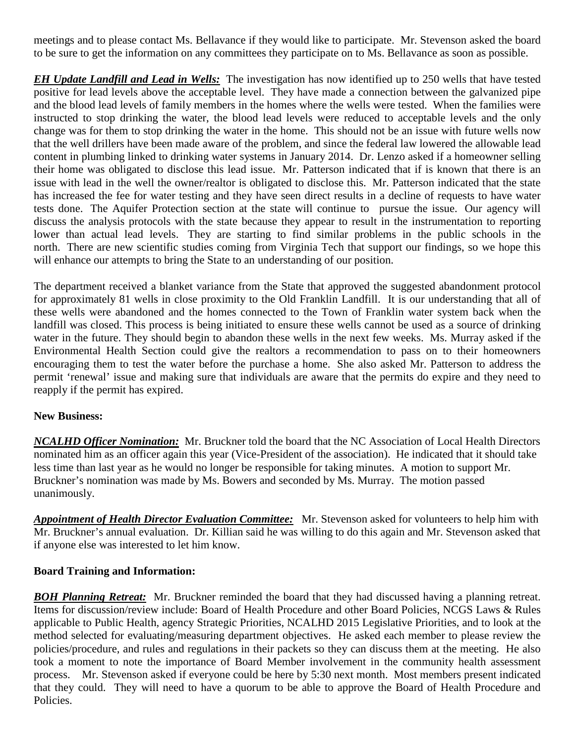meetings and to please contact Ms. Bellavance if they would like to participate. Mr. Stevenson asked the board to be sure to get the information on any committees they participate on to Ms. Bellavance as soon as possible.

*EH Update Landfill and Lead in Wells:* The investigation has now identified up to 250 wells that have tested positive for lead levels above the acceptable level. They have made a connection between the galvanized pipe and the blood lead levels of family members in the homes where the wells were tested. When the families were instructed to stop drinking the water, the blood lead levels were reduced to acceptable levels and the only change was for them to stop drinking the water in the home. This should not be an issue with future wells now that the well drillers have been made aware of the problem, and since the federal law lowered the allowable lead content in plumbing linked to drinking water systems in January 2014. Dr. Lenzo asked if a homeowner selling their home was obligated to disclose this lead issue. Mr. Patterson indicated that if is known that there is an issue with lead in the well the owner/realtor is obligated to disclose this. Mr. Patterson indicated that the state has increased the fee for water testing and they have seen direct results in a decline of requests to have water tests done. The Aquifer Protection section at the state will continue to pursue the issue. Our agency will discuss the analysis protocols with the state because they appear to result in the instrumentation to reporting lower than actual lead levels. They are starting to find similar problems in the public schools in the north. There are new scientific studies coming from Virginia Tech that support our findings, so we hope this will enhance our attempts to bring the State to an understanding of our position.

The department received a blanket variance from the State that approved the suggested abandonment protocol for approximately 81 wells in close proximity to the Old Franklin Landfill. It is our understanding that all of these wells were abandoned and the homes connected to the Town of Franklin water system back when the landfill was closed. This process is being initiated to ensure these wells cannot be used as a source of drinking water in the future. They should begin to abandon these wells in the next few weeks. Ms. Murray asked if the Environmental Health Section could give the realtors a recommendation to pass on to their homeowners encouraging them to test the water before the purchase a home. She also asked Mr. Patterson to address the permit 'renewal' issue and making sure that individuals are aware that the permits do expire and they need to reapply if the permit has expired.

## **New Business:**

*NCALHD Officer Nomination:* Mr. Bruckner told the board that the NC Association of Local Health Directors nominated him as an officer again this year (Vice-President of the association). He indicated that it should take less time than last year as he would no longer be responsible for taking minutes. A motion to support Mr. Bruckner's nomination was made by Ms. Bowers and seconded by Ms. Murray. The motion passed unanimously.

*Appointment of Health Director Evaluation Committee:* Mr. Stevenson asked for volunteers to help him with Mr. Bruckner's annual evaluation. Dr. Killian said he was willing to do this again and Mr. Stevenson asked that if anyone else was interested to let him know.

## **Board Training and Information:**

*BOH Planning Retreat:* Mr. Bruckner reminded the board that they had discussed having a planning retreat. Items for discussion/review include: Board of Health Procedure and other Board Policies, NCGS Laws & Rules applicable to Public Health, agency Strategic Priorities, NCALHD 2015 Legislative Priorities, and to look at the method selected for evaluating/measuring department objectives. He asked each member to please review the policies/procedure, and rules and regulations in their packets so they can discuss them at the meeting. He also took a moment to note the importance of Board Member involvement in the community health assessment process. Mr. Stevenson asked if everyone could be here by 5:30 next month. Most members present indicated that they could. They will need to have a quorum to be able to approve the Board of Health Procedure and Policies.